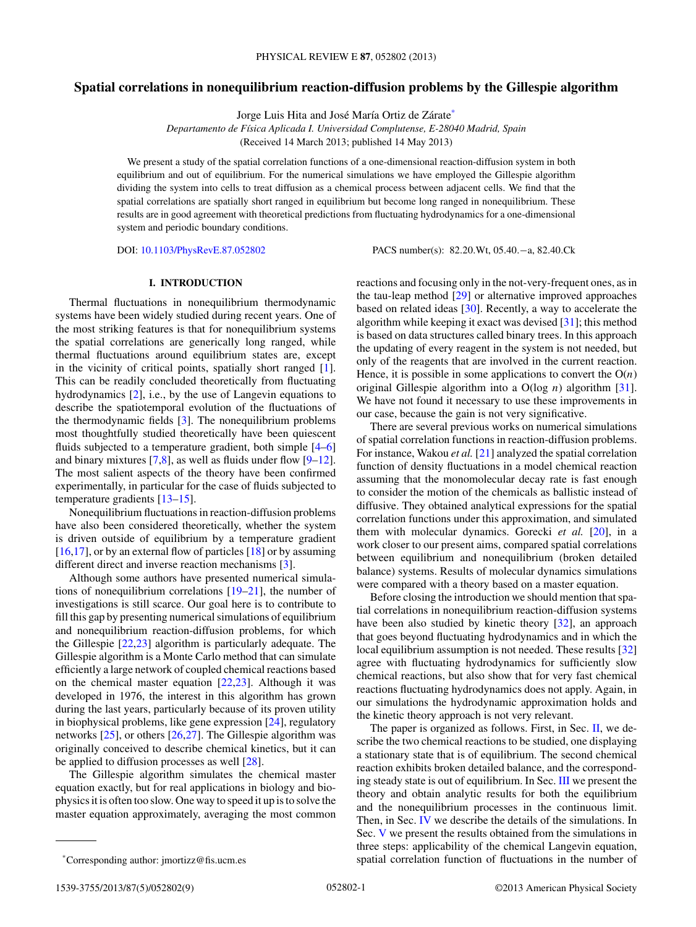# **Spatial correlations in nonequilibrium reaction-diffusion problems by the Gillespie algorithm**

Jorge Luis Hita and José María Ortiz de Zárate\*

*Departamento de F´ısica Aplicada I. Universidad Complutense, E-28040 Madrid, Spain* (Received 14 March 2013; published 14 May 2013)

We present a study of the spatial correlation functions of a one-dimensional reaction-diffusion system in both equilibrium and out of equilibrium. For the numerical simulations we have employed the Gillespie algorithm dividing the system into cells to treat diffusion as a chemical process between adjacent cells. We find that the spatial correlations are spatially short ranged in equilibrium but become long ranged in nonequilibrium. These results are in good agreement with theoretical predictions from fluctuating hydrodynamics for a one-dimensional system and periodic boundary conditions.

DOI: [10.1103/PhysRevE.87.052802](http://dx.doi.org/10.1103/PhysRevE.87.052802) PACS number(s): 82*.*20*.*Wt, 05*.*40*.*−a, 82*.*40*.*Ck

### **I. INTRODUCTION**

Thermal fluctuations in nonequilibrium thermodynamic systems have been widely studied during recent years. One of the most striking features is that for nonequilibrium systems the spatial correlations are generically long ranged, while thermal fluctuations around equilibrium states are, except in the vicinity of critical points, spatially short ranged [\[1\]](#page-8-0). This can be readily concluded theoretically from fluctuating hydrodynamics [\[2\]](#page-8-0), i.e., by the use of Langevin equations to describe the spatiotemporal evolution of the fluctuations of the thermodynamic fields [\[3\]](#page-8-0). The nonequilibrium problems most thoughtfully studied theoretically have been quiescent fluids subjected to a temperature gradient, both simple [\[4–6\]](#page-8-0) and binary mixtures  $[7,8]$ , as well as fluids under flow  $[9-12]$ . The most salient aspects of the theory have been confirmed experimentally, in particular for the case of fluids subjected to temperature gradients [\[13–15\]](#page-8-0).

Nonequilibrium fluctuations in reaction-diffusion problems have also been considered theoretically, whether the system is driven outside of equilibrium by a temperature gradient [\[16,17\]](#page-8-0), or by an external flow of particles [\[18\]](#page-8-0) or by assuming different direct and inverse reaction mechanisms [\[3\]](#page-8-0).

Although some authors have presented numerical simulations of nonequilibrium correlations  $[19-21]$ , the number of investigations is still scarce. Our goal here is to contribute to fill this gap by presenting numerical simulations of equilibrium and nonequilibrium reaction-diffusion problems, for which the Gillespie [\[22,23\]](#page-8-0) algorithm is particularly adequate. The Gillespie algorithm is a Monte Carlo method that can simulate efficiently a large network of coupled chemical reactions based on the chemical master equation  $[22,23]$ . Although it was developed in 1976, the interest in this algorithm has grown during the last years, particularly because of its proven utility in biophysical problems, like gene expression [\[24\]](#page-8-0), regulatory networks [\[25\]](#page-8-0), or others [\[26,27\]](#page-8-0). The Gillespie algorithm was originally conceived to describe chemical kinetics, but it can be applied to diffusion processes as well [\[28\]](#page-8-0).

The Gillespie algorithm simulates the chemical master equation exactly, but for real applications in biology and biophysics it is often too slow. One way to speed it up is to solve the master equation approximately, averaging the most common

reactions and focusing only in the not-very-frequent ones, as in the tau-leap method [\[29\]](#page-8-0) or alternative improved approaches based on related ideas [\[30\]](#page-8-0). Recently, a way to accelerate the algorithm while keeping it exact was devised [\[31\]](#page-8-0); this method is based on data structures called binary trees. In this approach the updating of every reagent in the system is not needed, but only of the reagents that are involved in the current reaction. Hence, it is possible in some applications to convert the  $O(n)$ original Gillespie algorithm into a O(log *n*) algorithm [\[31\]](#page-8-0). We have not found it necessary to use these improvements in our case, because the gain is not very significative.

There are several previous works on numerical simulations of spatial correlation functions in reaction-diffusion problems. For instance, Wakou *et al.* [\[21\]](#page-8-0) analyzed the spatial correlation function of density fluctuations in a model chemical reaction assuming that the monomolecular decay rate is fast enough to consider the motion of the chemicals as ballistic instead of diffusive. They obtained analytical expressions for the spatial correlation functions under this approximation, and simulated them with molecular dynamics. Gorecki *et al.* [\[20\]](#page-8-0), in a work closer to our present aims, compared spatial correlations between equilibrium and nonequilibrium (broken detailed balance) systems. Results of molecular dynamics simulations were compared with a theory based on a master equation.

Before closing the introduction we should mention that spatial correlations in nonequilibrium reaction-diffusion systems have been also studied by kinetic theory [\[32\]](#page-8-0), an approach that goes beyond fluctuating hydrodynamics and in which the local equilibrium assumption is not needed. These results [\[32\]](#page-8-0) agree with fluctuating hydrodynamics for sufficiently slow chemical reactions, but also show that for very fast chemical reactions fluctuating hydrodynamics does not apply. Again, in our simulations the hydrodynamic approximation holds and the kinetic theory approach is not very relevant.

The paper is organized as follows. First, in Sec. [II,](#page-1-0) we describe the two chemical reactions to be studied, one displaying a stationary state that is of equilibrium. The second chemical reaction exhibits broken detailed balance, and the corresponding steady state is out of equilibrium. In Sec. [III](#page-1-0) we present the theory and obtain analytic results for both the equilibrium and the nonequilibrium processes in the continuous limit. Then, in Sec. [IV](#page-4-0) we describe the details of the simulations. In Sec. [V](#page-5-0) we present the results obtained from the simulations in three steps: applicability of the chemical Langevin equation, spatial correlation function of fluctuations in the number of

<sup>\*</sup>Corresponding author: jmortizz@fis.ucm.es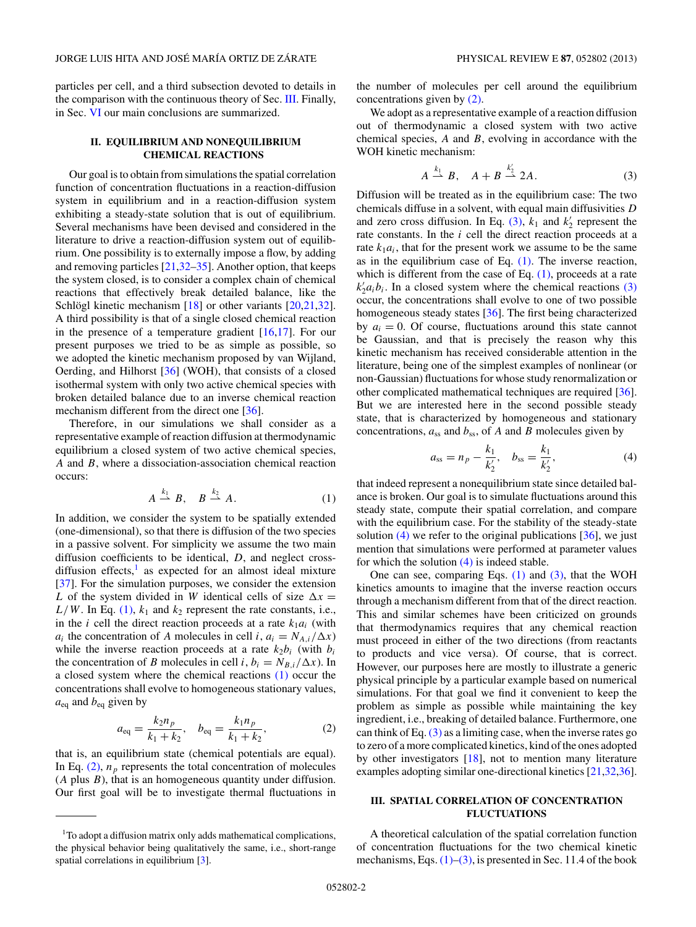<span id="page-1-0"></span>particles per cell, and a third subsection devoted to details in the comparison with the continuous theory of Sec. III. Finally, in Sec. [VI](#page-7-0) our main conclusions are summarized.

## **II. EQUILIBRIUM AND NONEQUILIBRIUM CHEMICAL REACTIONS**

Our goal is to obtain from simulations the spatial correlation function of concentration fluctuations in a reaction-diffusion system in equilibrium and in a reaction-diffusion system exhibiting a steady-state solution that is out of equilibrium. Several mechanisms have been devised and considered in the literature to drive a reaction-diffusion system out of equilibrium. One possibility is to externally impose a flow, by adding and removing particles [\[21,32–35\]](#page-8-0). Another option, that keeps the system closed, is to consider a complex chain of chemical reactions that effectively break detailed balance, like the Schlögl kinetic mechanism  $[18]$  $[18]$  or other variants  $[20,21,32]$ . A third possibility is that of a single closed chemical reaction in the presence of a temperature gradient  $[16,17]$ . For our present purposes we tried to be as simple as possible, so we adopted the kinetic mechanism proposed by van Wijland, Oerding, and Hilhorst [\[36\]](#page-8-0) (WOH), that consists of a closed isothermal system with only two active chemical species with broken detailed balance due to an inverse chemical reaction mechanism different from the direct one [\[36\]](#page-8-0).

Therefore, in our simulations we shall consider as a representative example of reaction diffusion at thermodynamic equilibrium a closed system of two active chemical species, *A* and *B*, where a dissociation-association chemical reaction occurs:

$$
A \stackrel{k_1}{\longrightarrow} B, \quad B \stackrel{k_2}{\longrightarrow} A. \tag{1}
$$

In addition, we consider the system to be spatially extended (one-dimensional), so that there is diffusion of the two species in a passive solvent. For simplicity we assume the two main diffusion coefficients to be identical, *D*, and neglect crossdiffusion effects, $\frac{1}{x}$  as expected for an almost ideal mixture [\[37\]](#page-8-0). For the simulation purposes, we consider the extension *L* of the system divided in *W* identical cells of size  $\Delta x =$  $L/W$ . In Eq. (1),  $k_1$  and  $k_2$  represent the rate constants, i.e., in the *i* cell the direct reaction proceeds at a rate  $k_1 a_i$  (with  $a_i$  the concentration of *A* molecules in cell *i*,  $a_i = N_{A,i}/\Delta x$ while the inverse reaction proceeds at a rate  $k_2b_i$  (with  $b_i$ the concentration of *B* molecules in cell *i*,  $b_i = N_{B,i}/\Delta x$ ). In a closed system where the chemical reactions (1) occur the concentrations shall evolve to homogeneous stationary values, *a*eq and *b*eq given by

$$
a_{\text{eq}} = \frac{k_2 n_p}{k_1 + k_2}, \quad b_{\text{eq}} = \frac{k_1 n_p}{k_1 + k_2},\tag{2}
$$

that is, an equilibrium state (chemical potentials are equal). In Eq.  $(2)$ ,  $n<sub>p</sub>$  represents the total concentration of molecules (*A* plus *B*), that is an homogeneous quantity under diffusion. Our first goal will be to investigate thermal fluctuations in the number of molecules per cell around the equilibrium concentrations given by (2).

We adopt as a representative example of a reaction diffusion out of thermodynamic a closed system with two active chemical species, *A* and *B*, evolving in accordance with the WOH kinetic mechanism:

$$
A \stackrel{k_1}{\rightharpoonup} B, \quad A + B \stackrel{k_2'}{\rightharpoonup} 2A. \tag{3}
$$

Diffusion will be treated as in the equilibrium case: The two chemicals diffuse in a solvent, with equal main diffusivities *D* and zero cross diffusion. In Eq. (3),  $k_1$  and  $k_2$  represent the rate constants. In the *i* cell the direct reaction proceeds at a rate  $k_1a_i$ , that for the present work we assume to be the same as in the equilibrium case of Eq. (1). The inverse reaction, which is different from the case of Eq.  $(1)$ , proceeds at a rate  $k'_2 a_i b_i$ . In a closed system where the chemical reactions (3) occur, the concentrations shall evolve to one of two possible homogeneous steady states [\[36\]](#page-8-0). The first being characterized by  $a_i = 0$ . Of course, fluctuations around this state cannot be Gaussian, and that is precisely the reason why this kinetic mechanism has received considerable attention in the literature, being one of the simplest examples of nonlinear (or non-Gaussian) fluctuations for whose study renormalization or other complicated mathematical techniques are required [\[36\]](#page-8-0). But we are interested here in the second possible steady state, that is characterized by homogeneous and stationary concentrations,  $a_{ss}$  and  $b_{ss}$ , of  $A$  and  $B$  molecules given by

$$
a_{ss} = n_p - \frac{k_1}{k'_2}, \quad b_{ss} = \frac{k_1}{k'_2}, \tag{4}
$$

that indeed represent a nonequilibrium state since detailed balance is broken. Our goal is to simulate fluctuations around this steady state, compute their spatial correlation, and compare with the equilibrium case. For the stability of the steady-state solution  $(4)$  we refer to the original publications [\[36\]](#page-8-0), we just mention that simulations were performed at parameter values for which the solution  $(4)$  is indeed stable.

One can see, comparing Eqs.  $(1)$  and  $(3)$ , that the WOH kinetics amounts to imagine that the inverse reaction occurs through a mechanism different from that of the direct reaction. This and similar schemes have been criticized on grounds that thermodynamics requires that any chemical reaction must proceed in either of the two directions (from reactants to products and vice versa). Of course, that is correct. However, our purposes here are mostly to illustrate a generic physical principle by a particular example based on numerical simulations. For that goal we find it convenient to keep the problem as simple as possible while maintaining the key ingredient, i.e., breaking of detailed balance. Furthermore, one can think of Eq.  $(3)$  as a limiting case, when the inverse rates go to zero of a more complicated kinetics, kind of the ones adopted by other investigators [\[18\]](#page-8-0), not to mention many literature examples adopting similar one-directional kinetics [\[21,32,36\]](#page-8-0).

# **III. SPATIAL CORRELATION OF CONCENTRATION FLUCTUATIONS**

A theoretical calculation of the spatial correlation function of concentration fluctuations for the two chemical kinetic mechanisms, Eqs.  $(1)$ – $(3)$ , is presented in Sec. 11.4 of the book

<sup>&</sup>lt;sup>1</sup>To adopt a diffusion matrix only adds mathematical complications, the physical behavior being qualitatively the same, i.e., short-range spatial correlations in equilibrium [\[3\]](#page-8-0).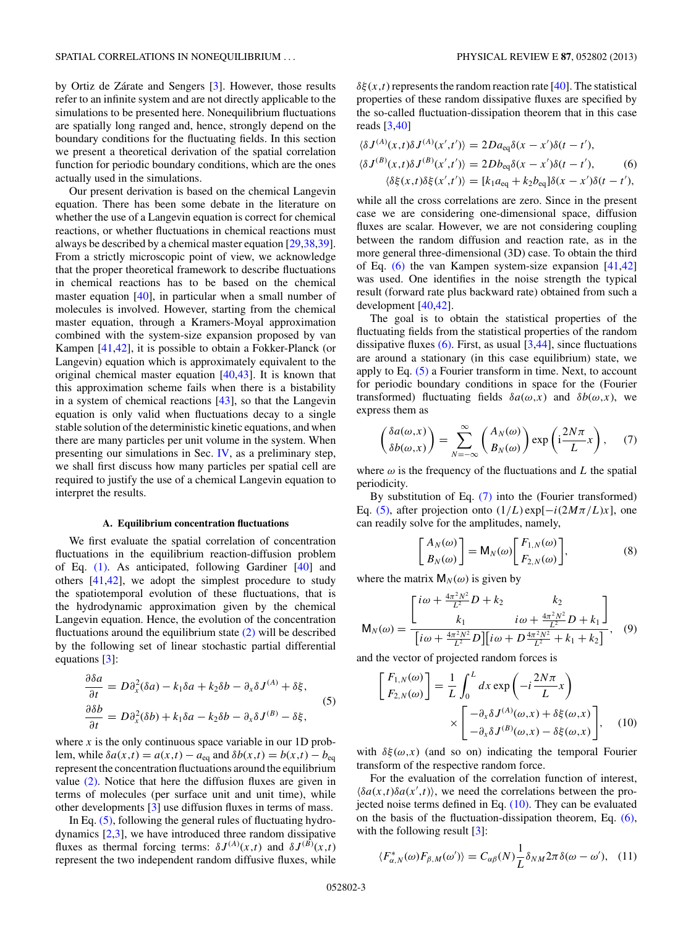<span id="page-2-0"></span>by Ortiz de Zárate and Sengers [[3\]](#page-8-0). However, those results refer to an infinite system and are not directly applicable to the simulations to be presented here. Nonequilibrium fluctuations are spatially long ranged and, hence, strongly depend on the boundary conditions for the fluctuating fields. In this section we present a theoretical derivation of the spatial correlation function for periodic boundary conditions, which are the ones actually used in the simulations.

Our present derivation is based on the chemical Langevin equation. There has been some debate in the literature on whether the use of a Langevin equation is correct for chemical reactions, or whether fluctuations in chemical reactions must always be described by a chemical master equation [\[29,38,39\]](#page-8-0). From a strictly microscopic point of view, we acknowledge that the proper theoretical framework to describe fluctuations in chemical reactions has to be based on the chemical master equation [\[40\]](#page-8-0), in particular when a small number of molecules is involved. However, starting from the chemical master equation, through a Kramers-Moyal approximation combined with the system-size expansion proposed by van Kampen [\[41,42\]](#page-8-0), it is possible to obtain a Fokker-Planck (or Langevin) equation which is approximately equivalent to the original chemical master equation [\[40,43\]](#page-8-0). It is known that this approximation scheme fails when there is a bistability in a system of chemical reactions  $[43]$ , so that the Langevin equation is only valid when fluctuations decay to a single stable solution of the deterministic kinetic equations, and when there are many particles per unit volume in the system. When presenting our simulations in Sec. [IV,](#page-4-0) as a preliminary step, we shall first discuss how many particles per spatial cell are required to justify the use of a chemical Langevin equation to interpret the results.

#### **A. Equilibrium concentration fluctuations**

We first evaluate the spatial correlation of concentration fluctuations in the equilibrium reaction-diffusion problem of Eq.  $(1)$ . As anticipated, following Gardiner  $[40]$  and others [\[41,42\]](#page-8-0), we adopt the simplest procedure to study the spatiotemporal evolution of these fluctuations, that is the hydrodynamic approximation given by the chemical Langevin equation. Hence, the evolution of the concentration fluctuations around the equilibrium state [\(2\)](#page-1-0) will be described by the following set of linear stochastic partial differential equations [\[3\]](#page-8-0):

$$
\frac{\partial \delta a}{\partial t} = D \partial_x^2 (\delta a) - k_1 \delta a + k_2 \delta b - \partial_x \delta J^{(A)} + \delta \xi,
$$
  
\n
$$
\frac{\partial \delta b}{\partial t} = D \partial_x^2 (\delta b) + k_1 \delta a - k_2 \delta b - \partial_x \delta J^{(B)} - \delta \xi,
$$
\n(5)

where  $x$  is the only continuous space variable in our 1D problem, while  $\delta a(x,t) = a(x,t) - a_{eq}$  and  $\delta b(x,t) = b(x,t) - b_{eq}$ represent the concentration fluctuations around the equilibrium value [\(2\).](#page-1-0) Notice that here the diffusion fluxes are given in terms of molecules (per surface unit and unit time), while other developments [\[3\]](#page-8-0) use diffusion fluxes in terms of mass.

In Eq.  $(5)$ , following the general rules of fluctuating hydrodynamics [\[2,3\]](#page-8-0), we have introduced three random dissipative fluxes as thermal forcing terms:  $\delta J^{(A)}(x,t)$  and  $\delta J^{(B)}(x,t)$ represent the two independent random diffusive fluxes, while

 $\delta \xi(x,t)$  represents the random reaction rate [\[40\]](#page-8-0). The statistical properties of these random dissipative fluxes are specified by the so-called fluctuation-dissipation theorem that in this case reads [\[3,40\]](#page-8-0)

$$
\langle \delta J^{(A)}(x,t) \delta J^{(A)}(x',t') \rangle = 2Da_{eq} \delta(x-x')\delta(t-t'),
$$
  

$$
\langle \delta J^{(B)}(x,t) \delta J^{(B)}(x',t') \rangle = 2Db_{eq} \delta(x-x')\delta(t-t'),
$$
  

$$
\langle \delta \xi(x,t) \delta \xi(x',t') \rangle = [k_1 a_{eq} + k_2 b_{eq}] \delta(x-x')\delta(t-t'),
$$

while all the cross correlations are zero. Since in the present case we are considering one-dimensional space, diffusion fluxes are scalar. However, we are not considering coupling between the random diffusion and reaction rate, as in the more general three-dimensional (3D) case. To obtain the third of Eq. (6) the van Kampen system-size expansion [\[41,42\]](#page-8-0) was used. One identifies in the noise strength the typical result (forward rate plus backward rate) obtained from such a development [\[40,42\]](#page-8-0).

The goal is to obtain the statistical properties of the fluctuating fields from the statistical properties of the random dissipative fluxes  $(6)$ . First, as usual  $[3,44]$ , since fluctuations are around a stationary (in this case equilibrium) state, we apply to Eq. (5) a Fourier transform in time. Next, to account for periodic boundary conditions in space for the (Fourier transformed) fluctuating fields  $\delta a(\omega, x)$  and  $\delta b(\omega, x)$ , we express them as

$$
\begin{pmatrix} \delta a(\omega, x) \\ \delta b(\omega, x) \end{pmatrix} = \sum_{N=-\infty}^{\infty} \begin{pmatrix} A_N(\omega) \\ B_N(\omega) \end{pmatrix} \exp\left(i\frac{2N\pi}{L}x\right), \quad (7)
$$

where  $\omega$  is the frequency of the fluctuations and *L* the spatial periodicity.

By substitution of Eq. (7) into the (Fourier transformed) Eq. (5), after projection onto  $(1/L) \exp[-i(2M\pi/L)x]$ , one can readily solve for the amplitudes, namely,

$$
\begin{bmatrix} A_N(\omega) \\ B_N(\omega) \end{bmatrix} = \mathsf{M}_N(\omega) \begin{bmatrix} F_{1,N}(\omega) \\ F_{2,N}(\omega) \end{bmatrix},
$$
(8)

where the matrix  $M_N(\omega)$  is given by

$$
\mathsf{M}_{N}(\omega) = \frac{\begin{bmatrix} i\omega + \frac{4\pi^{2}N^{2}}{L^{2}}D + k_{2} & k_{2} \\ k_{1} & i\omega + \frac{4\pi^{2}N^{2}}{L^{2}}D + k_{1} \end{bmatrix}}{\begin{bmatrix} i\omega + \frac{4\pi^{2}N^{2}}{L^{2}}D \end{bmatrix} \begin{bmatrix} i\omega + D\frac{4\pi^{2}N^{2}}{L^{2}} + k_{1} + k_{2} \end{bmatrix}}, \quad (9)
$$

and the vector of projected random forces is

$$
\begin{bmatrix}\nF_{1,N}(\omega) \\
F_{2,N}(\omega)\n\end{bmatrix} = \frac{1}{L} \int_0^L dx \exp\left(-i\frac{2N\pi}{L}x\right) \times \begin{bmatrix}\n-\partial_x \delta J^{(A)}(\omega, x) + \delta\xi(\omega, x) \\
-\partial_x \delta J^{(B)}(\omega, x) - \delta\xi(\omega, x)\n\end{bmatrix},
$$
(10)

with  $\delta \xi(\omega, x)$  (and so on) indicating the temporal Fourier transform of the respective random force.

For the evaluation of the correlation function of interest,  $\langle \delta a(x,t) \delta a(x',t) \rangle$ , we need the correlations between the projected noise terms defined in Eq. (10). They can be evaluated on the basis of the fluctuation-dissipation theorem, Eq. (6), with the following result [\[3\]](#page-8-0):

$$
\langle F_{\alpha,N}^*(\omega) F_{\beta,M}(\omega') \rangle = C_{\alpha\beta}(N) \frac{1}{L} \delta_{NM} 2\pi \delta(\omega - \omega'), \quad (11)
$$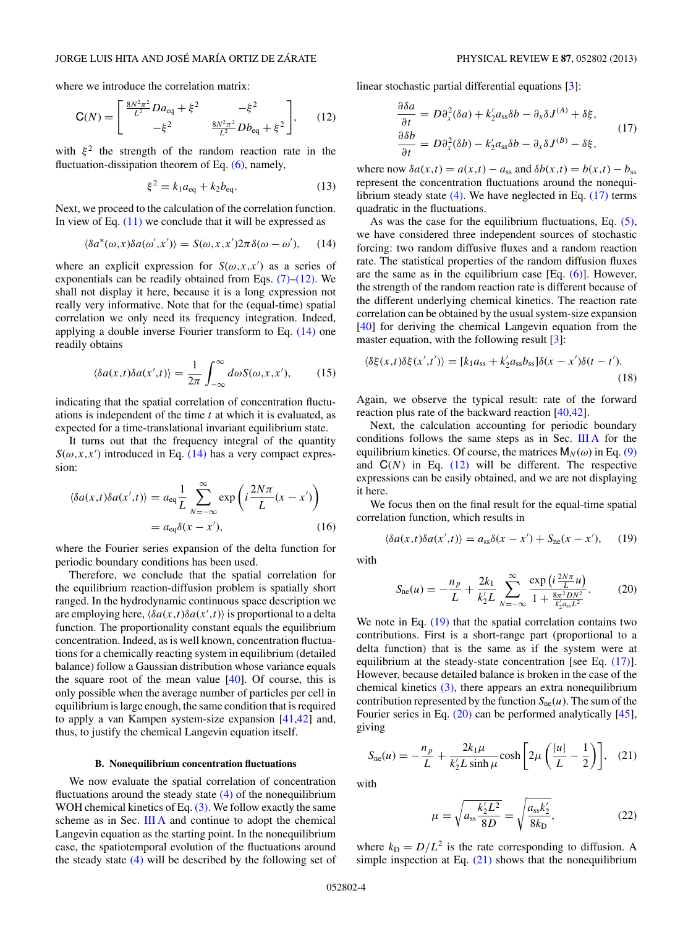<span id="page-3-0"></span>where we introduce the correlation matrix:

$$
\mathbf{C}(N) = \begin{bmatrix} \frac{8N^2\pi^2}{L^2}Da_{\text{eq}} + \xi^2 & -\xi^2\\ -\xi^2 & \frac{8N^2\pi^2}{L^2}Db_{\text{eq}} + \xi^2 \end{bmatrix},\qquad(12)
$$

with  $\xi^2$  the strength of the random reaction rate in the fluctuation-dissipation theorem of Eq.  $(6)$ , namely,

$$
\xi^2 = k_1 a_{\text{eq}} + k_2 b_{\text{eq}}.\tag{13}
$$

Next, we proceed to the calculation of the correlation function. In view of Eq.  $(11)$  we conclude that it will be expressed as

$$
\langle \delta a^*(\omega, x) \delta a(\omega', x') \rangle = S(\omega, x, x') 2\pi \delta(\omega - \omega'), \quad (14)
$$

where an explicit expression for  $S(\omega, x, x')$  as a series of exponentials can be readily obtained from Eqs.  $(7)$ – $(12)$ . We shall not display it here, because it is a long expression not really very informative. Note that for the (equal-time) spatial correlation we only need its frequency integration. Indeed, applying a double inverse Fourier transform to Eq. (14) one readily obtains

$$
\langle \delta a(x,t) \delta a(x',t) \rangle = \frac{1}{2\pi} \int_{-\infty}^{\infty} d\omega S(\omega, x, x'), \qquad (15)
$$

indicating that the spatial correlation of concentration fluctuations is independent of the time *t* at which it is evaluated, as expected for a time-translational invariant equilibrium state.

It turns out that the frequency integral of the quantity  $S(\omega, x, x')$  introduced in Eq. (14) has a very compact expression:

$$
\langle \delta a(x,t) \delta a(x',t) \rangle = a_{eq} \frac{1}{L} \sum_{N=-\infty}^{\infty} \exp\left(i \frac{2N\pi}{L}(x - x')\right)
$$

$$
= a_{eq} \delta(x - x'), \tag{16}
$$

where the Fourier series expansion of the delta function for periodic boundary conditions has been used.

Therefore, we conclude that the spatial correlation for the equilibrium reaction-diffusion problem is spatially short ranged. In the hydrodynamic continuous space description we are employing here,  $\langle \delta a(x,t) \delta a(x',t) \rangle$  is proportional to a delta function. The proportionality constant equals the equilibrium concentration. Indeed, as is well known, concentration fluctuations for a chemically reacting system in equilibrium (detailed balance) follow a Gaussian distribution whose variance equals the square root of the mean value  $[40]$ . Of course, this is only possible when the average number of particles per cell in equilibrium is large enough, the same condition that is required to apply a van Kampen system-size expansion [\[41,42\]](#page-8-0) and, thus, to justify the chemical Langevin equation itself.

### **B. Nonequilibrium concentration fluctuations**

We now evaluate the spatial correlation of concentration fluctuations around the steady state  $(4)$  of the nonequilibrium WOH chemical kinetics of Eq.  $(3)$ . We follow exactly the same scheme as in Sec. [III A](#page-2-0) and continue to adopt the chemical Langevin equation as the starting point. In the nonequilibrium case, the spatiotemporal evolution of the fluctuations around the steady state [\(4\)](#page-1-0) will be described by the following set of linear stochastic partial differential equations [\[3\]](#page-8-0):

$$
\frac{\partial \delta a}{\partial t} = D \partial_x^2 (\delta a) + k_2' a_{ss} \delta b - \partial_x \delta J^{(A)} + \delta \xi,
$$
  
\n
$$
\frac{\partial \delta b}{\partial t} = D \partial_x^2 (\delta b) - k_2' a_{ss} \delta b - \partial_x \delta J^{(B)} - \delta \xi,
$$
\n(17)

where now  $\delta a(x,t) = a(x,t) - a_{ss}$  and  $\delta b(x,t) = b(x,t) - b_{ss}$ represent the concentration fluctuations around the nonequilibrium steady state  $(4)$ . We have neglected in Eq.  $(17)$  terms quadratic in the fluctuations.

As was the case for the equilibrium fluctuations, Eq. [\(5\),](#page-2-0) we have considered three independent sources of stochastic forcing: two random diffusive fluxes and a random reaction rate. The statistical properties of the random diffusion fluxes are the same as in the equilibrium case  $[Eq. (6)]$  $[Eq. (6)]$ . However, the strength of the random reaction rate is different because of the different underlying chemical kinetics. The reaction rate correlation can be obtained by the usual system-size expansion [\[40\]](#page-8-0) for deriving the chemical Langevin equation from the master equation, with the following result  $[3]$ :

$$
\langle \delta \xi(x,t) \delta \xi(x',t') \rangle = [k_1 a_{ss} + k_2' a_{ss} b_{ss}] \delta(x-x') \delta(t-t').
$$
\n(18)

Again, we observe the typical result: rate of the forward reaction plus rate of the backward reaction [\[40,42\]](#page-8-0).

Next, the calculation accounting for periodic boundary conditions follows the same steps as in Sec. [III A](#page-2-0) for the equilibrium kinetics. Of course, the matrices  $M_N(\omega)$  in Eq. [\(9\)](#page-2-0) and  $C(N)$  in Eq.  $(12)$  will be different. The respective expressions can be easily obtained, and we are not displaying it here.

We focus then on the final result for the equal-time spatial correlation function, which results in

$$
\langle \delta a(x,t) \delta a(x',t) \rangle = a_{ss} \delta(x-x') + S_{\text{ne}}(x-x'), \quad (19)
$$

with

$$
S_{\text{ne}}(u) = -\frac{n_p}{L} + \frac{2k_1}{k_2 L} \sum_{N=-\infty}^{\infty} \frac{\exp\left(i\frac{2N\pi}{L}u\right)}{1 + \frac{8\pi^2 DN^2}{k_2 a_s L^2}}.
$$
 (20)

We note in Eq. (19) that the spatial correlation contains two contributions. First is a short-range part (proportional to a delta function) that is the same as if the system were at equilibrium at the steady-state concentration [see Eq. (17)]. However, because detailed balance is broken in the case of the chemical kinetics  $(3)$ , there appears an extra nonequilibrium contribution represented by the function  $S_{ne}(u)$ . The sum of the Fourier series in Eq. (20) can be performed analytically [\[45\]](#page-8-0), giving

$$
S_{\text{ne}}(u) = -\frac{n_p}{L} + \frac{2k_1\mu}{k_2' L \sinh \mu} \cosh \left[ 2\mu \left( \frac{|u|}{L} - \frac{1}{2} \right) \right], \quad (21)
$$

with

$$
\mu = \sqrt{a_{ss} \frac{k'_2 L^2}{8D}} = \sqrt{\frac{a_{ss} k'_2}{8k_{\rm D}}},\tag{22}
$$

where  $k_D = D/L^2$  is the rate corresponding to diffusion. A simple inspection at Eq.  $(21)$  shows that the nonequilibrium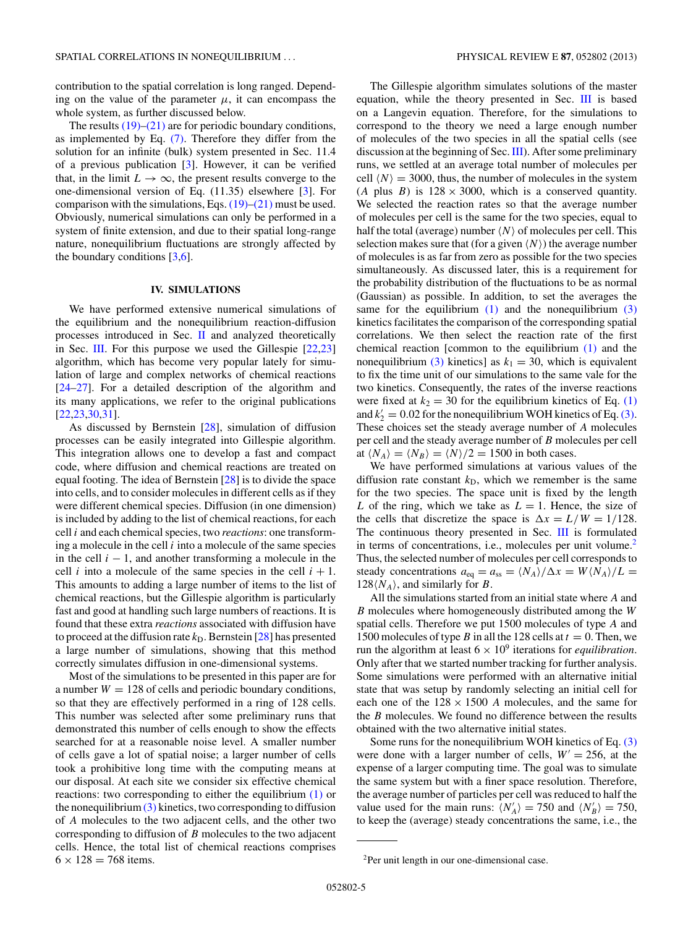<span id="page-4-0"></span>contribution to the spatial correlation is long ranged. Depending on the value of the parameter  $\mu$ , it can encompass the whole system, as further discussed below.

The results  $(19)$ – $(21)$  are for periodic boundary conditions, as implemented by Eq. [\(7\).](#page-2-0) Therefore they differ from the solution for an infinite (bulk) system presented in Sec. 11.4 of a previous publication [\[3\]](#page-8-0). However, it can be verified that, in the limit  $L \to \infty$ , the present results converge to the one-dimensional version of Eq. (11.35) elsewhere [\[3\]](#page-8-0). For comparison with the simulations, Eqs.  $(19)$ – $(21)$  must be used. Obviously, numerical simulations can only be performed in a system of finite extension, and due to their spatial long-range nature, nonequilibrium fluctuations are strongly affected by the boundary conditions  $[3,6]$ .

### **IV. SIMULATIONS**

We have performed extensive numerical simulations of the equilibrium and the nonequilibrium reaction-diffusion processes introduced in Sec. [II](#page-1-0) and analyzed theoretically in Sec. [III.](#page-1-0) For this purpose we used the Gillespie [\[22,23\]](#page-8-0) algorithm, which has become very popular lately for simulation of large and complex networks of chemical reactions [\[24–27\]](#page-8-0). For a detailed description of the algorithm and its many applications, we refer to the original publications [\[22,23,30,31\]](#page-8-0).

As discussed by Bernstein [\[28\]](#page-8-0), simulation of diffusion processes can be easily integrated into Gillespie algorithm. This integration allows one to develop a fast and compact code, where diffusion and chemical reactions are treated on equal footing. The idea of Bernstein [\[28\]](#page-8-0) is to divide the space into cells, and to consider molecules in different cells as if they were different chemical species. Diffusion (in one dimension) is included by adding to the list of chemical reactions, for each cell *i* and each chemical species, two *reactions*: one transforming a molecule in the cell *i* into a molecule of the same species in the cell  $i - 1$ , and another transforming a molecule in the cell *i* into a molecule of the same species in the cell  $i + 1$ . This amounts to adding a large number of items to the list of chemical reactions, but the Gillespie algorithm is particularly fast and good at handling such large numbers of reactions. It is found that these extra *reactions* associated with diffusion have to proceed at the diffusion rate  $k<sub>D</sub>$ . Bernstein [\[28\]](#page-8-0) has presented a large number of simulations, showing that this method correctly simulates diffusion in one-dimensional systems.

Most of the simulations to be presented in this paper are for a number  $W = 128$  of cells and periodic boundary conditions, so that they are effectively performed in a ring of 128 cells. This number was selected after some preliminary runs that demonstrated this number of cells enough to show the effects searched for at a reasonable noise level. A smaller number of cells gave a lot of spatial noise; a larger number of cells took a prohibitive long time with the computing means at our disposal. At each site we consider six effective chemical reactions: two corresponding to either the equilibrium [\(1\)](#page-1-0) or the nonequilibrium  $(3)$  kinetics, two corresponding to diffusion of *A* molecules to the two adjacent cells, and the other two corresponding to diffusion of *B* molecules to the two adjacent cells. Hence, the total list of chemical reactions comprises  $6 \times 128 = 768$  items.

The Gillespie algorithm simulates solutions of the master equation, while the theory presented in Sec. [III](#page-1-0) is based on a Langevin equation. Therefore, for the simulations to correspond to the theory we need a large enough number of molecules of the two species in all the spatial cells (see discussion at the beginning of Sec. [III\)](#page-1-0). After some preliminary runs, we settled at an average total number of molecules per cell  $\langle N \rangle = 3000$ , thus, the number of molecules in the system (*A* plus *B*) is  $128 \times 3000$ , which is a conserved quantity. We selected the reaction rates so that the average number of molecules per cell is the same for the two species, equal to half the total (average) number  $\langle N \rangle$  of molecules per cell. This selection makes sure that (for a given  $\langle N \rangle$ ) the average number of molecules is as far from zero as possible for the two species simultaneously. As discussed later, this is a requirement for the probability distribution of the fluctuations to be as normal (Gaussian) as possible. In addition, to set the averages the same for the equilibrium  $(1)$  and the nonequilibrium  $(3)$ kinetics facilitates the comparison of the corresponding spatial correlations. We then select the reaction rate of the first chemical reaction [common to the equilibrium [\(1\)](#page-1-0) and the nonequilibrium [\(3\)](#page-1-0) kinetics] as  $k_1 = 30$ , which is equivalent to fix the time unit of our simulations to the same vale for the two kinetics. Consequently, the rates of the inverse reactions were fixed at  $k_2 = 30$  for the equilibrium kinetics of Eq. [\(1\)](#page-1-0) and  $k'_2 = 0.02$  for the nonequilibrium WOH kinetics of Eq. [\(3\).](#page-1-0) These choices set the steady average number of *A* molecules per cell and the steady average number of *B* molecules per cell at  $\langle N_A \rangle = \langle N_B \rangle = \langle N \rangle/2 = 1500$  in both cases.

We have performed simulations at various values of the diffusion rate constant  $k_D$ , which we remember is the same for the two species. The space unit is fixed by the length *L* of the ring, which we take as  $L = 1$ . Hence, the size of the cells that discretize the space is  $\Delta x = L/W = 1/128$ . The continuous theory presented in Sec. [III](#page-1-0) is formulated in terms of concentrations, i.e., molecules per unit volume.<sup>2</sup> Thus, the selected number of molecules per cell corresponds to steady concentrations  $a_{eq} = a_{ss} = \langle N_A \rangle / \Delta x = W \langle N_A \rangle / L =$ 128 $\langle N_A \rangle$ , and similarly for *B*.

All the simulations started from an initial state where *A* and *B* molecules where homogeneously distributed among the *W* spatial cells. Therefore we put 1500 molecules of type *A* and 1500 molecules of type *B* in all the 128 cells at  $t = 0$ . Then, we run the algorithm at least  $6 \times 10^9$  iterations for *equilibration*. Only after that we started number tracking for further analysis. Some simulations were performed with an alternative initial state that was setup by randomly selecting an initial cell for each one of the  $128 \times 1500$  *A* molecules, and the same for the *B* molecules. We found no difference between the results obtained with the two alternative initial states.

Some runs for the nonequilibrium WOH kinetics of Eq. [\(3\)](#page-1-0) were done with a larger number of cells,  $W' = 256$ , at the expense of a larger computing time. The goal was to simulate the same system but with a finer space resolution. Therefore, the average number of particles per cell was reduced to half the value used for the main runs:  $\langle N'_A \rangle = 750$  and  $\langle N'_B \rangle = 750$ , to keep the (average) steady concentrations the same, i.e., the

<sup>2</sup>Per unit length in our one-dimensional case.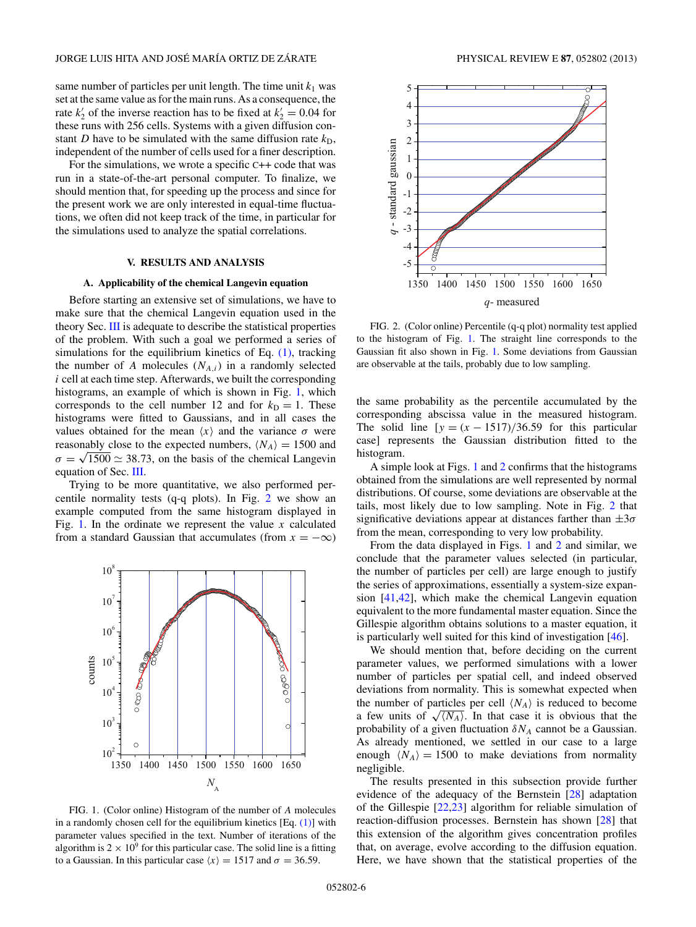<span id="page-5-0"></span>same number of particles per unit length. The time unit  $k_1$  was set at the same value as for the main runs. As a consequence, the rate  $k'_2$  of the inverse reaction has to be fixed at  $k'_2 = 0.04$  for these runs with 256 cells. Systems with a given diffusion constant *D* have to be simulated with the same diffusion rate  $k_D$ , independent of the number of cells used for a finer description.

For the simulations, we wrote a specific C++ code that was run in a state-of-the-art personal computer. To finalize, we should mention that, for speeding up the process and since for the present work we are only interested in equal-time fluctuations, we often did not keep track of the time, in particular for the simulations used to analyze the spatial correlations.

### **V. RESULTS AND ANALYSIS**

### **A. Applicability of the chemical Langevin equation**

Before starting an extensive set of simulations, we have to make sure that the chemical Langevin equation used in the theory Sec. [III](#page-1-0) is adequate to describe the statistical properties of the problem. With such a goal we performed a series of simulations for the equilibrium kinetics of Eq.  $(1)$ , tracking the number of *A* molecules  $(N_{A,i})$  in a randomly selected *i* cell at each time step. Afterwards, we built the corresponding histograms, an example of which is shown in Fig. 1, which corresponds to the cell number 12 and for  $k_D = 1$ . These histograms were fitted to Gaussians, and in all cases the values obtained for the mean  $\langle x \rangle$  and the variance  $\sigma$  were reasonably close to the expected numbers,  $\langle N_A \rangle = 1500$  and *σ* =  $\sqrt{1500} \approx 38.73$ , on the basis of the chemical Langevin equation of Sec. [III.](#page-1-0)

Trying to be more quantitative, we also performed percentile normality tests (q-q plots). In Fig. 2 we show an example computed from the same histogram displayed in Fig. 1. In the ordinate we represent the value *x* calculated from a standard Gaussian that accumulates (from  $x = -\infty$ )



FIG. 1. (Color online) Histogram of the number of *A* molecules in a randomly chosen cell for the equilibrium kinetics  $[Eq. (1)]$  $[Eq. (1)]$  with parameter values specified in the text. Number of iterations of the algorithm is  $2 \times 10^9$  for this particular case. The solid line is a fitting to a Gaussian. In this particular case  $\langle x \rangle = 1517$  and  $\sigma = 36.59$ .



FIG. 2. (Color online) Percentile (q-q plot) normality test applied to the histogram of Fig. 1. The straight line corresponds to the Gaussian fit also shown in Fig. 1. Some deviations from Gaussian are observable at the tails, probably due to low sampling.

the same probability as the percentile accumulated by the corresponding abscissa value in the measured histogram. The solid line  $[y = (x - 1517)/36.59$  for this particular case] represents the Gaussian distribution fitted to the histogram.

A simple look at Figs. 1 and 2 confirms that the histograms obtained from the simulations are well represented by normal distributions. Of course, some deviations are observable at the tails, most likely due to low sampling. Note in Fig. 2 that significative deviations appear at distances farther than ±3*σ* from the mean, corresponding to very low probability.

From the data displayed in Figs. 1 and 2 and similar, we conclude that the parameter values selected (in particular, the number of particles per cell) are large enough to justify the series of approximations, essentially a system-size expansion [\[41,42\]](#page-8-0), which make the chemical Langevin equation equivalent to the more fundamental master equation. Since the Gillespie algorithm obtains solutions to a master equation, it is particularly well suited for this kind of investigation [\[46\]](#page-8-0).

We should mention that, before deciding on the current parameter values, we performed simulations with a lower number of particles per spatial cell, and indeed observed deviations from normality. This is somewhat expected when the number of particles per cell  $\langle N_A \rangle$  is reduced to become a few units of  $\sqrt{\langle N_A \rangle}$ . In that case it is obvious that the probability of a given fluctuation  $\delta N_A$  cannot be a Gaussian. As already mentioned, we settled in our case to a large enough  $\langle N_A \rangle = 1500$  to make deviations from normality negligible.

The results presented in this subsection provide further evidence of the adequacy of the Bernstein [\[28\]](#page-8-0) adaptation of the Gillespie [\[22,23\]](#page-8-0) algorithm for reliable simulation of reaction-diffusion processes. Bernstein has shown [\[28\]](#page-8-0) that this extension of the algorithm gives concentration profiles that, on average, evolve according to the diffusion equation. Here, we have shown that the statistical properties of the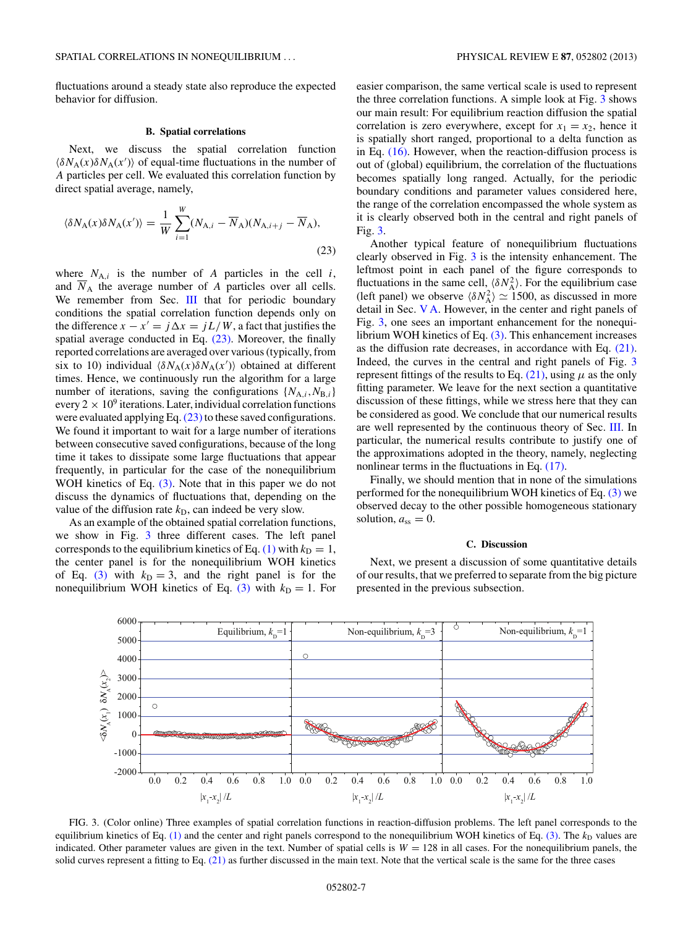<span id="page-6-0"></span>fluctuations around a steady state also reproduce the expected behavior for diffusion.

#### **B. Spatial correlations**

Next, we discuss the spatial correlation function  $\langle \delta N_A(x) \delta N_A(x') \rangle$  of equal-time fluctuations in the number of *A* particles per cell. We evaluated this correlation function by direct spatial average, namely,

$$
\langle \delta N_A(x)\delta N_A(x')\rangle = \frac{1}{W} \sum_{i=1}^{W} (N_{A,i} - \overline{N}_A)(N_{A,i+j} - \overline{N}_A),
$$
\n(23)

where  $N_{A,i}$  is the number of *A* particles in the cell *i*, and  $N_A$  the average number of *A* particles over all cells. We remember from Sec. [III](#page-1-0) that for periodic boundary conditions the spatial correlation function depends only on the difference  $x - x' = j\Delta x = jL/W$ , a fact that justifies the spatial average conducted in Eq.  $(23)$ . Moreover, the finally reported correlations are averaged over various (typically, from six to 10) individual  $\langle \delta N_A(x) \delta N_A(x') \rangle$  obtained at different times. Hence, we continuously run the algorithm for a large number of iterations, saving the configurations  $\{N_{A,i}, N_{B,i}\}$ every  $2 \times 10^9$  iterations. Later, individual correlation functions were evaluated applying Eq.  $(23)$  to these saved configurations. We found it important to wait for a large number of iterations between consecutive saved configurations, because of the long time it takes to dissipate some large fluctuations that appear frequently, in particular for the case of the nonequilibrium WOH kinetics of Eq.  $(3)$ . Note that in this paper we do not discuss the dynamics of fluctuations that, depending on the value of the diffusion rate  $k<sub>D</sub>$ , can indeed be very slow.

As an example of the obtained spatial correlation functions, we show in Fig. 3 three different cases. The left panel corresponds to the equilibrium kinetics of Eq. [\(1\)](#page-1-0) with  $k_D = 1$ , the center panel is for the nonequilibrium WOH kinetics of Eq. [\(3\)](#page-1-0) with  $k_D = 3$ , and the right panel is for the nonequilibrium WOH kinetics of Eq.  $(3)$  with  $k_D = 1$ . For

easier comparison, the same vertical scale is used to represent the three correlation functions. A simple look at Fig. 3 shows our main result: For equilibrium reaction diffusion the spatial correlation is zero everywhere, except for  $x_1 = x_2$ , hence it is spatially short ranged, proportional to a delta function as in Eq. [\(16\).](#page-3-0) However, when the reaction-diffusion process is out of (global) equilibrium, the correlation of the fluctuations becomes spatially long ranged. Actually, for the periodic boundary conditions and parameter values considered here, the range of the correlation encompassed the whole system as it is clearly observed both in the central and right panels of Fig. 3.

Another typical feature of nonequilibrium fluctuations clearly observed in Fig. 3 is the intensity enhancement. The leftmost point in each panel of the figure corresponds to fluctuations in the same cell,  $\langle \delta N_A^2 \rangle$ . For the equilibrium case (left panel) we observe  $\langle \delta N_A^2 \rangle \simeq 1500$ , as discussed in more detail in Sec. [V A.](#page-5-0) However, in the center and right panels of Fig. 3, one sees an important enhancement for the nonequilibrium WOH kinetics of Eq.  $(3)$ . This enhancement increases as the diffusion rate decreases, in accordance with Eq. [\(21\).](#page-3-0) Indeed, the curves in the central and right panels of Fig. 3 represent fittings of the results to Eq.  $(21)$ , using  $\mu$  as the only fitting parameter. We leave for the next section a quantitative discussion of these fittings, while we stress here that they can be considered as good. We conclude that our numerical results are well represented by the continuous theory of Sec. [III.](#page-1-0) In particular, the numerical results contribute to justify one of the approximations adopted in the theory, namely, neglecting nonlinear terms in the fluctuations in Eq. [\(17\).](#page-3-0)

Finally, we should mention that in none of the simulations performed for the nonequilibrium WOH kinetics of Eq. [\(3\)](#page-1-0) we observed decay to the other possible homogeneous stationary solution,  $a_{ss} = 0$ .

#### **C. Discussion**

Next, we present a discussion of some quantitative details of our results, that we preferred to separate from the big picture presented in the previous subsection.



FIG. 3. (Color online) Three examples of spatial correlation functions in reaction-diffusion problems. The left panel corresponds to the equilibrium kinetics of Eq.  $(1)$  and the center and right panels correspond to the nonequilibrium WOH kinetics of Eq.  $(3)$ . The  $k_D$  values are indicated. Other parameter values are given in the text. Number of spatial cells is  $W = 128$  in all cases. For the nonequilibrium panels, the solid curves represent a fitting to Eq.  $(21)$  as further discussed in the main text. Note that the vertical scale is the same for the three cases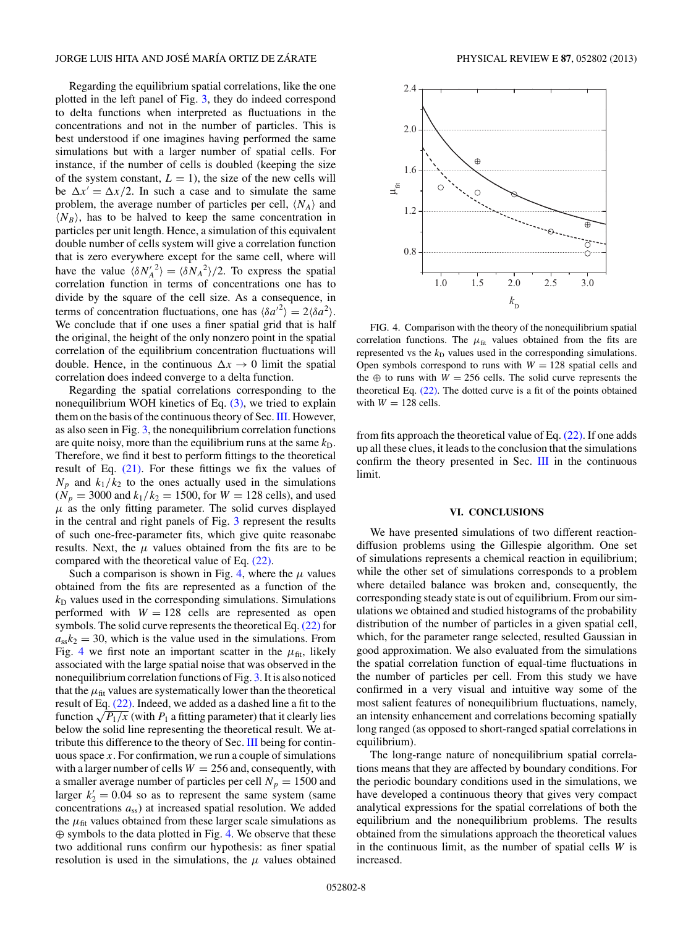### <span id="page-7-0"></span>JORGE LUIS HITA AND JOSÉ MARÍA ORTIZ DE ZÁRATE PHYSICAL REVIEW E **87**, 052802 (2013)

Regarding the equilibrium spatial correlations, like the one plotted in the left panel of Fig. [3,](#page-6-0) they do indeed correspond to delta functions when interpreted as fluctuations in the concentrations and not in the number of particles. This is best understood if one imagines having performed the same simulations but with a larger number of spatial cells. For instance, if the number of cells is doubled (keeping the size of the system constant,  $L = 1$ ), the size of the new cells will be  $\Delta x' = \Delta x/2$ . In such a case and to simulate the same problem, the average number of particles per cell,  $\langle N_A \rangle$  and  $\langle N_B \rangle$ , has to be halved to keep the same concentration in particles per unit length. Hence, a simulation of this equivalent double number of cells system will give a correlation function that is zero everywhere except for the same cell, where will have the value  $\langle \delta N_A^2 \rangle = \langle \delta N_A^2 \rangle / 2$ . To express the spatial correlation function in terms of concentrations one has to divide by the square of the cell size. As a consequence, in terms of concentration fluctuations, one has  $\langle \delta a^2 \rangle = 2 \langle \delta a^2 \rangle$ . We conclude that if one uses a finer spatial grid that is half the original, the height of the only nonzero point in the spatial correlation of the equilibrium concentration fluctuations will double. Hence, in the continuous  $\Delta x \rightarrow 0$  limit the spatial correlation does indeed converge to a delta function.

Regarding the spatial correlations corresponding to the nonequilibrium WOH kinetics of Eq.  $(3)$ , we tried to explain them on the basis of the continuous theory of Sec.[III.](#page-1-0) However, as also seen in Fig. [3,](#page-6-0) the nonequilibrium correlation functions are quite noisy, more than the equilibrium runs at the same  $k<sub>D</sub>$ . Therefore, we find it best to perform fittings to the theoretical result of Eq. [\(21\).](#page-3-0) For these fittings we fix the values of  $N_p$  and  $k_1/k_2$  to the ones actually used in the simulations  $(N_p = 3000$  and  $k_1/k_2 = 1500$ , for  $W = 128$  cells), and used  $\mu$  as the only fitting parameter. The solid curves displayed in the central and right panels of Fig. [3](#page-6-0) represent the results of such one-free-parameter fits, which give quite reasonabe results. Next, the  $\mu$  values obtained from the fits are to be compared with the theoretical value of Eq. [\(22\).](#page-3-0)

Such a comparison is shown in Fig. 4, where the  $\mu$  values obtained from the fits are represented as a function of the  $k<sub>D</sub>$  values used in the corresponding simulations. Simulations performed with  $W = 128$  cells are represented as open symbols. The solid curve represents the theoretical Eq. [\(22\)](#page-3-0) for  $a_{ss}k_2 = 30$ , which is the value used in the simulations. From Fig. 4 we first note an important scatter in the  $\mu_{\text{fit}}$ , likely associated with the large spatial noise that was observed in the nonequilibrium correlation functions of Fig. [3.](#page-6-0) It is also noticed that the  $\mu_{\text{fit}}$  values are systematically lower than the theoretical result of Eq. [\(22\).](#page-3-0) Indeed, we added as a dashed line a fit to the function  $\sqrt{P_1/x}$  (with  $P_1$  a fitting parameter) that it clearly lies below the solid line representing the theoretical result. We attribute this difference to the theory of Sec. [III](#page-1-0) being for continuous space *x*. For confirmation, we run a couple of simulations with a larger number of cells  $W = 256$  and, consequently, with a smaller average number of particles per cell  $N_p = 1500$  and larger  $k'_2 = 0.04$  so as to represent the same system (same concentrations *a*ss) at increased spatial resolution. We added the  $\mu_{\text{fit}}$  values obtained from these larger scale simulations as ⊕ symbols to the data plotted in Fig. 4. We observe that these two additional runs confirm our hypothesis: as finer spatial resolution is used in the simulations, the  $\mu$  values obtained



FIG. 4. Comparison with the theory of the nonequilibrium spatial correlation functions. The  $\mu_{\text{fit}}$  values obtained from the fits are represented vs the  $k_D$  values used in the corresponding simulations. Open symbols correspond to runs with  $W = 128$  spatial cells and the  $oplus$  to runs with  $W = 256$  cells. The solid curve represents the theoretical Eq. [\(22\).](#page-3-0) The dotted curve is a fit of the points obtained with  $W = 128$  cells.

from fits approach the theoretical value of Eq.  $(22)$ . If one adds up all these clues, it leads to the conclusion that the simulations confirm the theory presented in Sec. [III](#page-1-0) in the continuous limit.

#### **VI. CONCLUSIONS**

We have presented simulations of two different reactiondiffusion problems using the Gillespie algorithm. One set of simulations represents a chemical reaction in equilibrium; while the other set of simulations corresponds to a problem where detailed balance was broken and, consequently, the corresponding steady state is out of equilibrium. From our simulations we obtained and studied histograms of the probability distribution of the number of particles in a given spatial cell, which, for the parameter range selected, resulted Gaussian in good approximation. We also evaluated from the simulations the spatial correlation function of equal-time fluctuations in the number of particles per cell. From this study we have confirmed in a very visual and intuitive way some of the most salient features of nonequilibrium fluctuations, namely, an intensity enhancement and correlations becoming spatially long ranged (as opposed to short-ranged spatial correlations in equilibrium).

The long-range nature of nonequilibrium spatial correlations means that they are affected by boundary conditions. For the periodic boundary conditions used in the simulations, we have developed a continuous theory that gives very compact analytical expressions for the spatial correlations of both the equilibrium and the nonequilibrium problems. The results obtained from the simulations approach the theoretical values in the continuous limit, as the number of spatial cells *W* is increased.